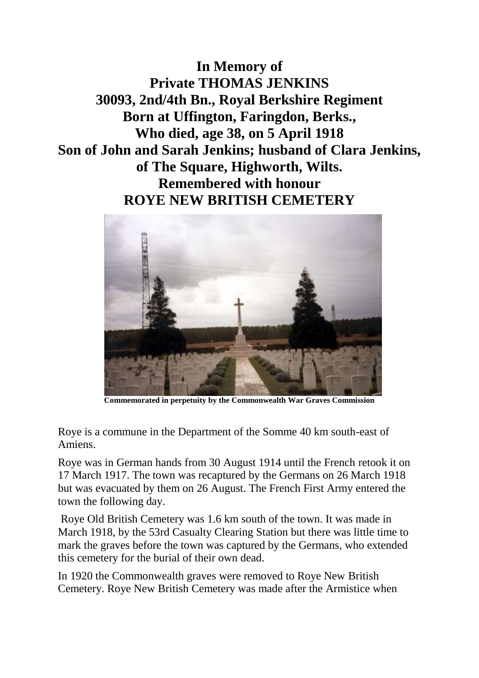**In Memory of Private THOMAS JENKINS 30093, 2nd/4th Bn., Royal Berkshire Regiment Born at Uffington, Faringdon, Berks., Who died, age 38, on 5 April 1918 Son of John and Sarah Jenkins; husband of Clara Jenkins, of The Square, Highworth, Wilts. Remembered with honour ROYE NEW BRITISH CEMETERY**



**Commemorated in perpetuity by the Commonwealth War Graves Commission**

Roye is a commune in the Department of the Somme 40 km south-east of Amiens.

Roye was in German hands from 30 August 1914 until the French retook it on 17 March 1917. The town was recaptured by the Germans on 26 March 1918 but was evacuated by them on 26 August. The French First Army entered the town the following day.

Roye Old British Cemetery was 1.6 km south of the town. It was made in March 1918, by the 53rd Casualty Clearing Station but there was little time to mark the graves before the town was captured by the Germans, who extended this cemetery for the burial of their own dead.

In 1920 the Commonwealth graves were removed to Roye New British Cemetery. Roye New British Cemetery was made after the Armistice when